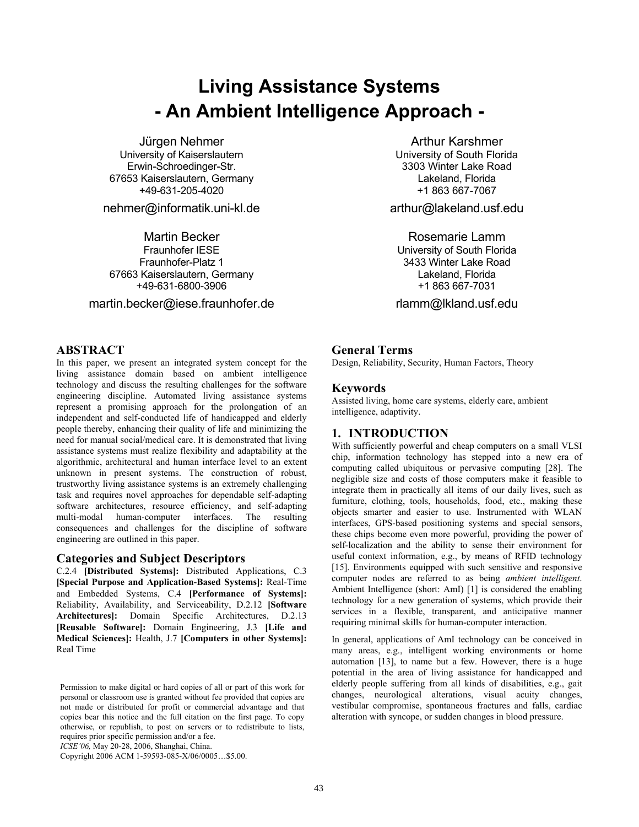# **Living Assistance Systems - An Ambient Intelligence Approach -**

Jürgen Nehmer University of Kaiserslautern Erwin-Schroedinger-Str. 67653 Kaiserslautern, Germany +49-631-205-4020

nehmer@informatik.uni-kl.de

Martin Becker Fraunhofer IESE Fraunhofer-Platz 1 67663 Kaiserslautern, Germany +49-631-6800-3906

martin.becker@iese.fraunhofer.de

Arthur Karshmer University of South Florida 3303 Winter Lake Road Lakeland, Florida +1 863 667-7067

arthur@lakeland.usf.edu

Rosemarie Lamm University of South Florida 3433 Winter Lake Road Lakeland, Florida +1 863 667-7031

rlamm@lkland.usf.edu

# **ABSTRACT**

In this paper, we present an integrated system concept for the living assistance domain based on ambient intelligence technology and discuss the resulting challenges for the software engineering discipline. Automated living assistance systems represent a promising approach for the prolongation of an independent and self-conducted life of handicapped and elderly people thereby, enhancing their quality of life and minimizing the need for manual social/medical care. It is demonstrated that living assistance systems must realize flexibility and adaptability at the algorithmic, architectural and human interface level to an extent unknown in present systems. The construction of robust, trustworthy living assistance systems is an extremely challenging task and requires novel approaches for dependable self-adapting software architectures, resource efficiency, and self-adapting multi-modal human-computer interfaces. The resulting consequences and challenges for the discipline of software engineering are outlined in this paper.

## **Categories and Subject Descriptors**

C.2.4 **[Distributed Systems]:** Distributed Applications, C.3 **[Special Purpose and Application-Based Systems]:** Real-Time and Embedded Systems, C.4 **[Performance of Systems]:** Reliability, Availability, and Serviceability, D.2.12 **[Software Architectures]:** Domain Specific Architectures, D.2.13 **[Reusable Software]:** Domain Engineering, J.3 **[Life and Medical Sciences]:** Health, J.7 **[Computers in other Systems]:** Real Time

*ICSE'06,* May 20-28, 2006, Shanghai, China.

# **General Terms**

Design, Reliability, Security, Human Factors, Theory

## **Keywords**

Assisted living, home care systems, elderly care, ambient intelligence, adaptivity.

## **1. INTRODUCTION**

With sufficiently powerful and cheap computers on a small VLSI chip, information technology has stepped into a new era of computing called ubiquitous or pervasive computing [28]. The negligible size and costs of those computers make it feasible to integrate them in practically all items of our daily lives, such as furniture, clothing, tools, households, food, etc., making these objects smarter and easier to use. Instrumented with WLAN interfaces, GPS-based positioning systems and special sensors, these chips become even more powerful, providing the power of self-localization and the ability to sense their environment for useful context information, e.g., by means of RFID technology [15]. Environments equipped with such sensitive and responsive computer nodes are referred to as being *ambient intelligent*. Ambient Intelligence (short: AmI) [1] is considered the enabling technology for a new generation of systems, which provide their services in a flexible, transparent, and anticipative manner requiring minimal skills for human-computer interaction.

In general, applications of AmI technology can be conceived in many areas, e.g., intelligent working environments or home automation [13], to name but a few. However, there is a huge potential in the area of living assistance for handicapped and elderly people suffering from all kinds of disabilities, e.g., gait changes, neurological alterations, visual acuity changes, vestibular compromise, spontaneous fractures and falls, cardiac alteration with syncope, or sudden changes in blood pressure.

Permission to make digital or hard copies of all or part of this work for personal or classroom use is granted without fee provided that copies are not made or distributed for profit or commercial advantage and that copies bear this notice and the full citation on the first page. To copy otherwise, or republish, to post on servers or to redistribute to lists, requires prior specific permission and/or a fee.

Copyright 2006 ACM 1-59593-085-X/06/0005…\$5.00.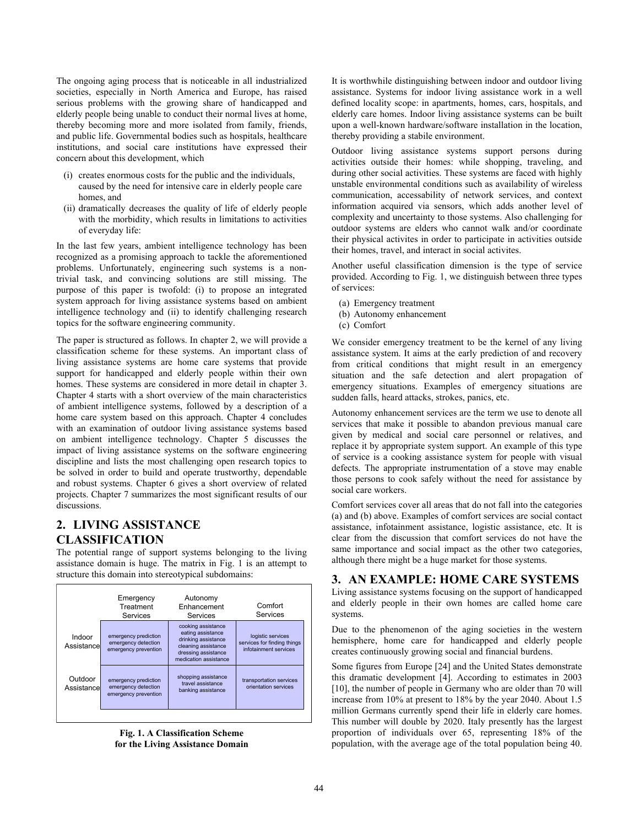The ongoing aging process that is noticeable in all industrialized societies, especially in North America and Europe, has raised serious problems with the growing share of handicapped and elderly people being unable to conduct their normal lives at home, thereby becoming more and more isolated from family, friends, and public life. Governmental bodies such as hospitals, healthcare institutions, and social care institutions have expressed their concern about this development, which

- (i) creates enormous costs for the public and the individuals, caused by the need for intensive care in elderly people care homes, and
- (ii) dramatically decreases the quality of life of elderly people with the morbidity, which results in limitations to activities of everyday life:

In the last few years, ambient intelligence technology has been recognized as a promising approach to tackle the aforementioned problems. Unfortunately, engineering such systems is a nontrivial task, and convincing solutions are still missing. The purpose of this paper is twofold: (i) to propose an integrated system approach for living assistance systems based on ambient intelligence technology and (ii) to identify challenging research topics for the software engineering community.

The paper is structured as follows. In chapter 2, we will provide a classification scheme for these systems. An important class of living assistance systems are home care systems that provide support for handicapped and elderly people within their own homes. These systems are considered in more detail in chapter 3. Chapter 4 starts with a short overview of the main characteristics of ambient intelligence systems, followed by a description of a home care system based on this approach. Chapter 4 concludes with an examination of outdoor living assistance systems based on ambient intelligence technology. Chapter 5 discusses the impact of living assistance systems on the software engineering discipline and lists the most challenging open research topics to be solved in order to build and operate trustworthy, dependable and robust systems. Chapter 6 gives a short overview of related projects. Chapter 7 summarizes the most significant results of our discussions.

# **2. LIVING ASSISTANCE CLASSIFICATION**

The potential range of support systems belonging to the living assistance domain is huge. The matrix in Fig. 1 is an attempt to structure this domain into stereotypical subdomains:



**Fig. 1. A Classification Scheme for the Living Assistance Domain** 

It is worthwhile distinguishing between indoor and outdoor living assistance. Systems for indoor living assistance work in a well defined locality scope: in apartments, homes, cars, hospitals, and elderly care homes. Indoor living assistance systems can be built upon a well-known hardware/software installation in the location, thereby providing a stabile environment.

Outdoor living assistance systems support persons during activities outside their homes: while shopping, traveling, and during other social activities. These systems are faced with highly unstable environmental conditions such as availability of wireless communication, accessability of network services, and context information acquired via sensors, which adds another level of complexity and uncertainty to those systems. Also challenging for outdoor systems are elders who cannot walk and/or coordinate their physical activites in order to participate in activities outside their homes, travel, and interact in social activites.

Another useful classification dimension is the type of service provided. According to Fig. 1, we distinguish between three types of services:

- (a) Emergency treatment
- (b) Autonomy enhancement
- (c) Comfort

We consider emergency treatment to be the kernel of any living assistance system. It aims at the early prediction of and recovery from critical conditions that might result in an emergency situation and the safe detection and alert propagation of emergency situations. Examples of emergency situations are sudden falls, heard attacks, strokes, panics, etc.

Autonomy enhancement services are the term we use to denote all services that make it possible to abandon previous manual care given by medical and social care personnel or relatives, and replace it by appropriate system support. An example of this type of service is a cooking assistance system for people with visual defects. The appropriate instrumentation of a stove may enable those persons to cook safely without the need for assistance by social care workers.

Comfort services cover all areas that do not fall into the categories (a) and (b) above. Examples of comfort services are social contact assistance, infotainment assistance, logistic assistance, etc. It is clear from the discussion that comfort services do not have the same importance and social impact as the other two categories, although there might be a huge market for those systems.

# **3. AN EXAMPLE: HOME CARE SYSTEMS**

Living assistance systems focusing on the support of handicapped and elderly people in their own homes are called home care systems.

Due to the phenomenon of the aging societies in the western hemisphere, home care for handicapped and elderly people creates continuously growing social and financial burdens.

Some figures from Europe [24] and the United States demonstrate this dramatic development [4]. According to estimates in 2003 [10], the number of people in Germany who are older than 70 will increase from 10% at present to 18% by the year 2040. About 1.5 million Germans currently spend their life in elderly care homes. This number will double by 2020. Italy presently has the largest proportion of individuals over 65, representing 18% of the population, with the average age of the total population being 40.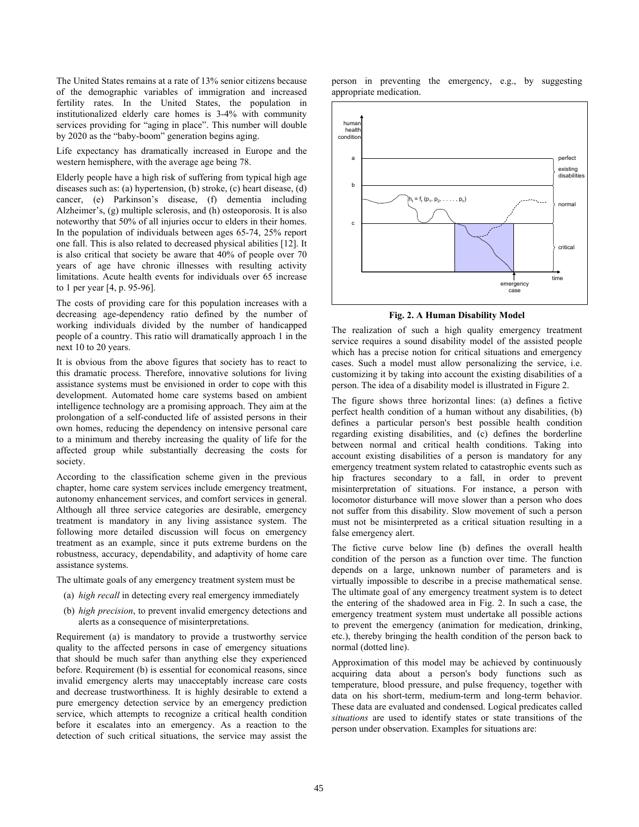The United States remains at a rate of 13% senior citizens because of the demographic variables of immigration and increased fertility rates. In the United States, the population in institutionalized elderly care homes is 3-4% with community services providing for "aging in place". This number will double by 2020 as the "baby-boom" generation begins aging.

Life expectancy has dramatically increased in Europe and the western hemisphere, with the average age being 78.

Elderly people have a high risk of suffering from typical high age diseases such as: (a) hypertension, (b) stroke, (c) heart disease, (d) cancer, (e) Parkinson's disease, (f) dementia including Alzheimer's, (g) multiple sclerosis, and (h) osteoporosis. It is also noteworthy that 50% of all injuries occur to elders in their homes. In the population of individuals between ages 65-74, 25% report one fall. This is also related to decreased physical abilities [12]. It is also critical that society be aware that 40% of people over 70 years of age have chronic illnesses with resulting activity limitations. Acute health events for individuals over 65 increase to 1 per year [4, p. 95-96].

The costs of providing care for this population increases with a decreasing age-dependency ratio defined by the number of working individuals divided by the number of handicapped people of a country. This ratio will dramatically approach 1 in the next 10 to 20 years.

It is obvious from the above figures that society has to react to this dramatic process. Therefore, innovative solutions for living assistance systems must be envisioned in order to cope with this development. Automated home care systems based on ambient intelligence technology are a promising approach. They aim at the prolongation of a self-conducted life of assisted persons in their own homes, reducing the dependency on intensive personal care to a minimum and thereby increasing the quality of life for the affected group while substantially decreasing the costs for society.

According to the classification scheme given in the previous chapter, home care system services include emergency treatment, autonomy enhancement services, and comfort services in general. Although all three service categories are desirable, emergency treatment is mandatory in any living assistance system. The following more detailed discussion will focus on emergency treatment as an example, since it puts extreme burdens on the robustness, accuracy, dependability, and adaptivity of home care assistance systems.

The ultimate goals of any emergency treatment system must be

- (a) *high recall* in detecting every real emergency immediately
- (b) *high precision*, to prevent invalid emergency detections and alerts as a consequence of misinterpretations.

Requirement (a) is mandatory to provide a trustworthy service quality to the affected persons in case of emergency situations that should be much safer than anything else they experienced before. Requirement (b) is essential for economical reasons, since invalid emergency alerts may unacceptably increase care costs and decrease trustworthiness. It is highly desirable to extend a pure emergency detection service by an emergency prediction service, which attempts to recognize a critical health condition before it escalates into an emergency. As a reaction to the detection of such critical situations, the service may assist the

person in preventing the emergency, e.g., by suggesting appropriate medication.



**Fig. 2. A Human Disability Model** 

The realization of such a high quality emergency treatment service requires a sound disability model of the assisted people which has a precise notion for critical situations and emergency cases. Such a model must allow personalizing the service, i.e. customizing it by taking into account the existing disabilities of a person. The idea of a disability model is illustrated in Figure 2.

The figure shows three horizontal lines: (a) defines a fictive perfect health condition of a human without any disabilities, (b) defines a particular person's best possible health condition regarding existing disabilities, and (c) defines the borderline between normal and critical health conditions. Taking into account existing disabilities of a person is mandatory for any emergency treatment system related to catastrophic events such as hip fractures secondary to a fall, in order to prevent misinterpretation of situations. For instance, a person with locomotor disturbance will move slower than a person who does not suffer from this disability. Slow movement of such a person must not be misinterpreted as a critical situation resulting in a false emergency alert.

The fictive curve below line (b) defines the overall health condition of the person as a function over time. The function depends on a large, unknown number of parameters and is virtually impossible to describe in a precise mathematical sense. The ultimate goal of any emergency treatment system is to detect the entering of the shadowed area in Fig. 2. In such a case, the emergency treatment system must undertake all possible actions to prevent the emergency (animation for medication, drinking, etc.), thereby bringing the health condition of the person back to normal (dotted line).

Approximation of this model may be achieved by continuously acquiring data about a person's body functions such as temperature, blood pressure, and pulse frequency, together with data on his short-term, medium-term and long-term behavior. These data are evaluated and condensed. Logical predicates called *situations* are used to identify states or state transitions of the person under observation. Examples for situations are: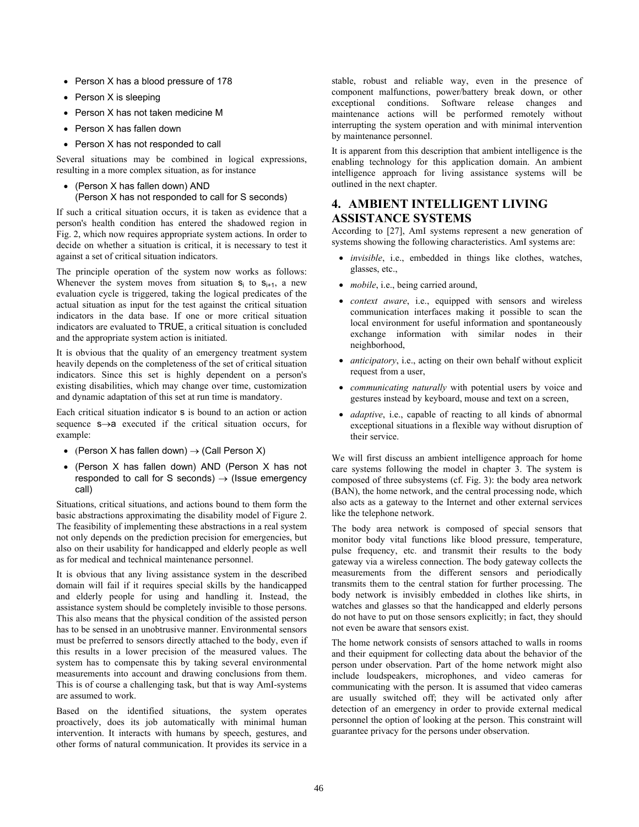- Person X has a blood pressure of 178
- Person X is sleeping
- Person X has not taken medicine M
- Person X has fallen down
- Person X has not responded to call

Several situations may be combined in logical expressions, resulting in a more complex situation, as for instance

## • (Person X has fallen down) AND (Person X has not responded to call for S seconds)

If such a critical situation occurs, it is taken as evidence that a person's health condition has entered the shadowed region in Fig. 2, which now requires appropriate system actions. In order to decide on whether a situation is critical, it is necessary to test it against a set of critical situation indicators.

The principle operation of the system now works as follows: Whenever the system moves from situation  $S_i$  to  $S_{i+1}$ , a new evaluation cycle is triggered, taking the logical predicates of the actual situation as input for the test against the critical situation indicators in the data base. If one or more critical situation indicators are evaluated to TRUE, a critical situation is concluded and the appropriate system action is initiated.

It is obvious that the quality of an emergency treatment system heavily depends on the completeness of the set of critical situation indicators. Since this set is highly dependent on a person's existing disabilities, which may change over time, customization and dynamic adaptation of this set at run time is mandatory.

Each critical situation indicator s is bound to an action or action sequence s→a executed if the critical situation occurs, for example:

- (Person X has fallen down)  $\rightarrow$  (Call Person X)
- (Person X has fallen down) AND (Person X has not responded to call for S seconds)  $\rightarrow$  (Issue emergency call)

Situations, critical situations, and actions bound to them form the basic abstractions approximating the disability model of Figure 2. The feasibility of implementing these abstractions in a real system not only depends on the prediction precision for emergencies, but also on their usability for handicapped and elderly people as well as for medical and technical maintenance personnel.

It is obvious that any living assistance system in the described domain will fail if it requires special skills by the handicapped and elderly people for using and handling it. Instead, the assistance system should be completely invisible to those persons. This also means that the physical condition of the assisted person has to be sensed in an unobtrusive manner. Environmental sensors must be preferred to sensors directly attached to the body, even if this results in a lower precision of the measured values. The system has to compensate this by taking several environmental measurements into account and drawing conclusions from them. This is of course a challenging task, but that is way AmI-systems are assumed to work.

Based on the identified situations, the system operates proactively, does its job automatically with minimal human intervention. It interacts with humans by speech, gestures, and other forms of natural communication. It provides its service in a

stable, robust and reliable way, even in the presence of component malfunctions, power/battery break down, or other exceptional conditions. Software release changes and maintenance actions will be performed remotely without interrupting the system operation and with minimal intervention by maintenance personnel.

It is apparent from this description that ambient intelligence is the enabling technology for this application domain. An ambient intelligence approach for living assistance systems will be outlined in the next chapter.

# **4. AMBIENT INTELLIGENT LIVING ASSISTANCE SYSTEMS**

According to [27], AmI systems represent a new generation of systems showing the following characteristics. AmI systems are:

- *invisible*, i.e., embedded in things like clothes, watches, glasses, etc.,
- *mobile*, i.e., being carried around,
- *context aware*, i.e., equipped with sensors and wireless communication interfaces making it possible to scan the local environment for useful information and spontaneously exchange information with similar nodes in their neighborhood,
- *anticipatory*, i.e., acting on their own behalf without explicit request from a user,
- *communicating naturally* with potential users by voice and gestures instead by keyboard, mouse and text on a screen,
- *adaptive*, i.e., capable of reacting to all kinds of abnormal exceptional situations in a flexible way without disruption of their service.

We will first discuss an ambient intelligence approach for home care systems following the model in chapter 3. The system is composed of three subsystems (cf. Fig. 3): the body area network (BAN), the home network, and the central processing node, which also acts as a gateway to the Internet and other external services like the telephone network.

The body area network is composed of special sensors that monitor body vital functions like blood pressure, temperature, pulse frequency, etc. and transmit their results to the body gateway via a wireless connection. The body gateway collects the measurements from the different sensors and periodically transmits them to the central station for further processing. The body network is invisibly embedded in clothes like shirts, in watches and glasses so that the handicapped and elderly persons do not have to put on those sensors explicitly; in fact, they should not even be aware that sensors exist.

The home network consists of sensors attached to walls in rooms and their equipment for collecting data about the behavior of the person under observation. Part of the home network might also include loudspeakers, microphones, and video cameras for communicating with the person. It is assumed that video cameras are usually switched off; they will be activated only after detection of an emergency in order to provide external medical personnel the option of looking at the person. This constraint will guarantee privacy for the persons under observation.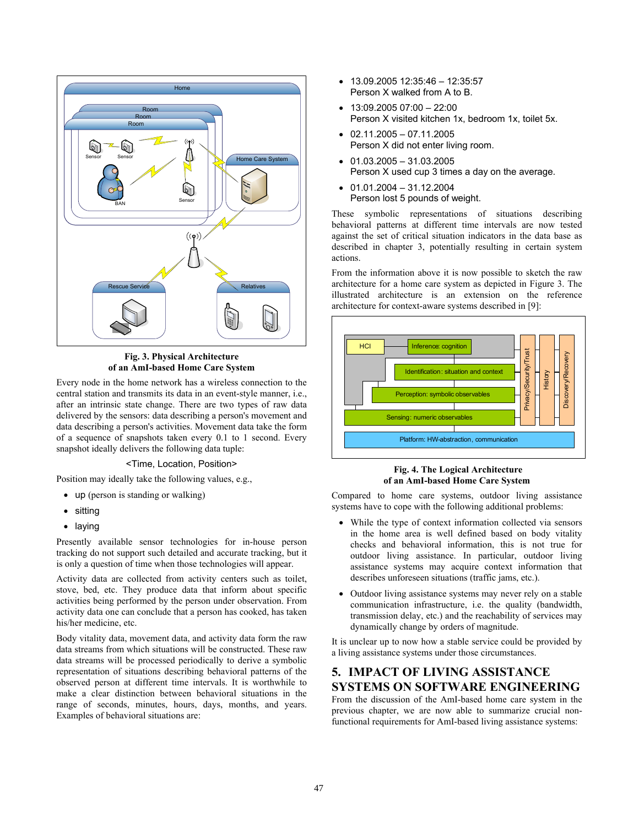

**Fig. 3. Physical Architecture of an AmI-based Home Care System** 

Every node in the home network has a wireless connection to the central station and transmits its data in an event-style manner, i.e., after an intrinsic state change. There are two types of raw data delivered by the sensors: data describing a person's movement and data describing a person's activities. Movement data take the form of a sequence of snapshots taken every 0.1 to 1 second. Every snapshot ideally delivers the following data tuple:

#### <Time, Location, Position>

Position may ideally take the following values, e.g.,

- up (person is standing or walking)
- sitting
- laying

Presently available sensor technologies for in-house person tracking do not support such detailed and accurate tracking, but it is only a question of time when those technologies will appear.

Activity data are collected from activity centers such as toilet, stove, bed, etc. They produce data that inform about specific activities being performed by the person under observation. From activity data one can conclude that a person has cooked, has taken his/her medicine, etc.

Body vitality data, movement data, and activity data form the raw data streams from which situations will be constructed. These raw data streams will be processed periodically to derive a symbolic representation of situations describing behavioral patterns of the observed person at different time intervals. It is worthwhile to make a clear distinction between behavioral situations in the range of seconds, minutes, hours, days, months, and years. Examples of behavioral situations are:

- $\bullet$  13.09.2005 12:35:46 12:35:57 Person X walked from A to B.
- 13:09.2005 07:00 22:00 Person X visited kitchen 1x, bedroom 1x, toilet 5x.
- $\bullet$  02.11.2005 07.11.2005 Person X did not enter living room.
- $\bullet$  01.03.2005 31.03.2005 Person X used cup 3 times a day on the average.
- $\bullet$  01.01.2004 31.12.2004 Person lost 5 pounds of weight.

These symbolic representations of situations describing behavioral patterns at different time intervals are now tested against the set of critical situation indicators in the data base as described in chapter 3, potentially resulting in certain system actions.

From the information above it is now possible to sketch the raw architecture for a home care system as depicted in Figure 3. The illustrated architecture is an extension on the reference architecture for context-aware systems described in [9]:



#### **Fig. 4. The Logical Architecture of an AmI-based Home Care System**

Compared to home care systems, outdoor living assistance systems have to cope with the following additional problems:

- While the type of context information collected via sensors in the home area is well defined based on body vitality checks and behavioral information, this is not true for outdoor living assistance. In particular, outdoor living assistance systems may acquire context information that describes unforeseen situations (traffic jams, etc.).
- Outdoor living assistance systems may never rely on a stable communication infrastructure, i.e. the quality (bandwidth, transmission delay, etc.) and the reachability of services may dynamically change by orders of magnitude.

It is unclear up to now how a stable service could be provided by a living assistance systems under those circumstances.

# **5. IMPACT OF LIVING ASSISTANCE SYSTEMS ON SOFTWARE ENGINEERING**

From the discussion of the AmI-based home care system in the previous chapter, we are now able to summarize crucial nonfunctional requirements for AmI-based living assistance systems: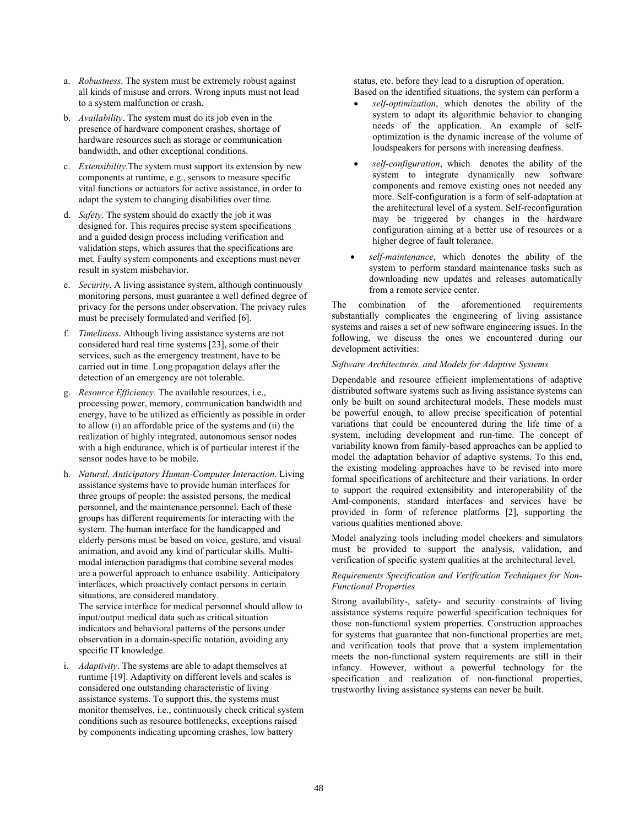- a. *Robustness*. The system must be extremely robust against all kinds of misuse and errors. Wrong inputs must not lead to a system malfunction or crash.
- b. *Availability*. The system must do its job even in the presence of hardware component crashes, shortage of hardware resources such as storage or communication bandwidth, and other exceptional conditions.
- c. *Extensibility.*The system must support its extension by new components at runtime, e.g., sensors to measure specific vital functions or actuators for active assistance, in order to adapt the system to changing disabilities over time.
- d. *Safety*. The system should do exactly the job it was designed for. This requires precise system specifications and a guided design process including verification and validation steps, which assures that the specifications are met. Faulty system components and exceptions must never result in system misbehavior.
- e. *Security*. A living assistance system, although continuously monitoring persons, must guarantee a well defined degree of privacy for the persons under observation. The privacy rules must be precisely formulated and verified [6].
- f. *Timeliness*. Although living assistance systems are not considered hard real time systems [23], some of their services, such as the emergency treatment, have to be carried out in time. Long propagation delays after the detection of an emergency are not tolerable.
- g. *Resource Efficiency*. The available resources, i.e., processing power, memory, communication bandwidth and energy, have to be utilized as efficiently as possible in order to allow (i) an affordable price of the systems and (ii) the realization of highly integrated, autonomous sensor nodes with a high endurance, which is of particular interest if the sensor nodes have to be mobile.
- h. *Natural, Anticipatory Human-Computer Interaction*. Living assistance systems have to provide human interfaces for three groups of people: the assisted persons, the medical personnel, and the maintenance personnel. Each of these groups has different requirements for interacting with the system. The human interface for the handicapped and elderly persons must be based on voice, gesture, and visual animation, and avoid any kind of particular skills. Multimodal interaction paradigms that combine several modes are a powerful approach to enhance usability. Anticipatory interfaces, which proactively contact persons in certain situations, are considered mandatory. The service interface for medical personnel should allow to

input/output medical data such as critical situation indicators and behavioral patterns of the persons under observation in a domain-specific notation, avoiding any specific IT knowledge.

i. *Adaptivity*. The systems are able to adapt themselves at runtime [19]. Adaptivity on different levels and scales is considered one outstanding characteristic of living assistance systems. To support this, the systems must monitor themselves, i.e., continuously check critical system conditions such as resource bottlenecks, exceptions raised by components indicating upcoming crashes, low battery

status, etc. before they lead to a disruption of operation. Based on the identified situations, the system can perform a

- *self-optimization*, which denotes the ability of the system to adapt its algorithmic behavior to changing needs of the application. An example of selfoptimization is the dynamic increase of the volume of loudspeakers for persons with increasing deafness.
- *self-configuration*, which denotes the ability of the system to integrate dynamically new software components and remove existing ones not needed any more. Self-configuration is a form of self-adaptation at the architectural level of a system. Self-reconfiguration may be triggered by changes in the hardware configuration aiming at a better use of resources or a higher degree of fault tolerance.
- *self-maintenance*, which denotes the ability of the system to perform standard maintenance tasks such as downloading new updates and releases automatically from a remote service center.

The combination of the aforementioned requirements substantially complicates the engineering of living assistance systems and raises a set of new software engineering issues. In the following, we discuss the ones we encountered during our development activities:

### *Software Architectures, and Models for Adaptive Systems*

Dependable and resource efficient implementations of adaptive distributed software systems such as living assistance systems can only be built on sound architectural models. These models must be powerful enough, to allow precise specification of potential variations that could be encountered during the life time of a system, including development and run-time. The concept of variability known from family-based approaches can be applied to model the adaptation behavior of adaptive systems. To this end, the existing modeling approaches have to be revised into more formal specifications of architecture and their variations. In order to support the required extensibility and interoperability of the AmI-components, standard interfaces and services have be provided in form of reference platforms [2], supporting the various qualities mentioned above.

Model analyzing tools including model checkers and simulators must be provided to support the analysis, validation, and verification of specific system qualities at the architectural level.

## *Requirements Specification and Verification Techniques for Non-Functional Properties*

Strong availability-, safety- and security constraints of living assistance systems require powerful specification techniques for those non-functional system properties. Construction approaches for systems that guarantee that non-functional properties are met, and verification tools that prove that a system implementation meets the non-functional system requirements are still in their infancy. However, without a powerful technology for the specification and realization of non-functional properties, trustworthy living assistance systems can never be built.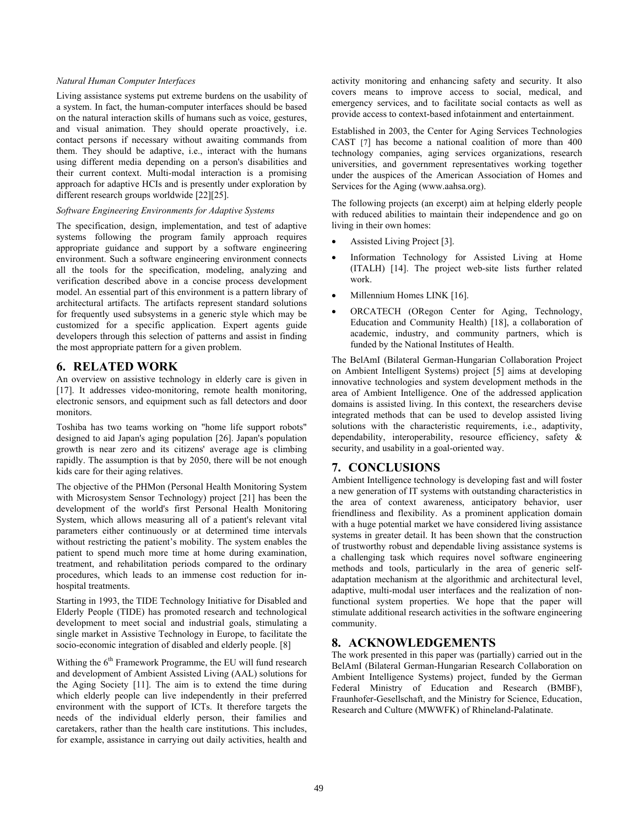#### *Natural Human Computer Interfaces*

Living assistance systems put extreme burdens on the usability of a system. In fact, the human-computer interfaces should be based on the natural interaction skills of humans such as voice, gestures, and visual animation. They should operate proactively, i.e. contact persons if necessary without awaiting commands from them. They should be adaptive, i.e., interact with the humans using different media depending on a person's disabilities and their current context. Multi-modal interaction is a promising approach for adaptive HCIs and is presently under exploration by different research groups worldwide [22][25].

#### *Software Engineering Environments for Adaptive Systems*

The specification, design, implementation, and test of adaptive systems following the program family approach requires appropriate guidance and support by a software engineering environment. Such a software engineering environment connects all the tools for the specification, modeling, analyzing and verification described above in a concise process development model. An essential part of this environment is a pattern library of architectural artifacts. The artifacts represent standard solutions for frequently used subsystems in a generic style which may be customized for a specific application. Expert agents guide developers through this selection of patterns and assist in finding the most appropriate pattern for a given problem.

## **6. RELATED WORK**

An overview on assistive technology in elderly care is given in [17]. It addresses video-monitoring, remote health monitoring, electronic sensors, and equipment such as fall detectors and door monitors.

Toshiba has two teams working on "home life support robots" designed to aid Japan's aging population [26]. Japan's population growth is near zero and its citizens' average age is climbing rapidly. The assumption is that by 2050, there will be not enough kids care for their aging relatives.

The objective of the PHMon (Personal Health Monitoring System with Microsystem Sensor Technology) project [21] has been the development of the world's first Personal Health Monitoring System, which allows measuring all of a patient's relevant vital parameters either continuously or at determined time intervals without restricting the patient's mobility. The system enables the patient to spend much more time at home during examination, treatment, and rehabilitation periods compared to the ordinary procedures, which leads to an immense cost reduction for inhospital treatments.

Starting in 1993, the TIDE Technology Initiative for Disabled and Elderly People (TIDE) has promoted research and technological development to meet social and industrial goals, stimulating a single market in Assistive Technology in Europe, to facilitate the socio-economic integration of disabled and elderly people. [8]

Withing the 6<sup>th</sup> Framework Programme, the EU will fund research and development of Ambient Assisted Living (AAL) solutions for the Aging Society [11]. The aim is to extend the time during which elderly people can live independently in their preferred environment with the support of ICTs. It therefore targets the needs of the individual elderly person, their families and caretakers, rather than the health care institutions. This includes, for example, assistance in carrying out daily activities, health and activity monitoring and enhancing safety and security. It also covers means to improve access to social, medical, and emergency services, and to facilitate social contacts as well as provide access to context-based infotainment and entertainment.

Established in 2003, the Center for Aging Services Technologies CAST [7] has become a national coalition of more than 400 technology companies, aging services organizations, research universities, and government representatives working together under the auspices of the American Association of Homes and Services for the Aging (www.aahsa.org).

The following projects (an excerpt) aim at helping elderly people with reduced abilities to maintain their independence and go on living in their own homes:

- Assisted Living Project [3].
- Information Technology for Assisted Living at Home (ITALH) [14]. The project web-site lists further related work.
- Millennium Homes LINK [16].
- ORCATECH (ORegon Center for Aging, Technology, Education and Community Health) [18], a collaboration of academic, industry, and community partners, which is funded by the National Institutes of Health.

The BelAmI (Bilateral German-Hungarian Collaboration Project on Ambient Intelligent Systems) project [5] aims at developing innovative technologies and system development methods in the area of Ambient Intelligence. One of the addressed application domains is assisted living. In this context, the researchers devise integrated methods that can be used to develop assisted living solutions with the characteristic requirements, i.e., adaptivity, dependability, interoperability, resource efficiency, safety & security, and usability in a goal-oriented way.

# **7. CONCLUSIONS**

Ambient Intelligence technology is developing fast and will foster a new generation of IT systems with outstanding characteristics in the area of context awareness, anticipatory behavior, user friendliness and flexibility. As a prominent application domain with a huge potential market we have considered living assistance systems in greater detail. It has been shown that the construction of trustworthy robust and dependable living assistance systems is a challenging task which requires novel software engineering methods and tools, particularly in the area of generic selfadaptation mechanism at the algorithmic and architectural level, adaptive, multi-modal user interfaces and the realization of nonfunctional system properties. We hope that the paper will stimulate additional research activities in the software engineering community.

## **8. ACKNOWLEDGEMENTS**

The work presented in this paper was (partially) carried out in the BelAmI (Bilateral German-Hungarian Research Collaboration on Ambient Intelligence Systems) project, funded by the German Federal Ministry of Education and Research (BMBF), Fraunhofer-Gesellschaft, and the Ministry for Science, Education, Research and Culture (MWWFK) of Rhineland-Palatinate.